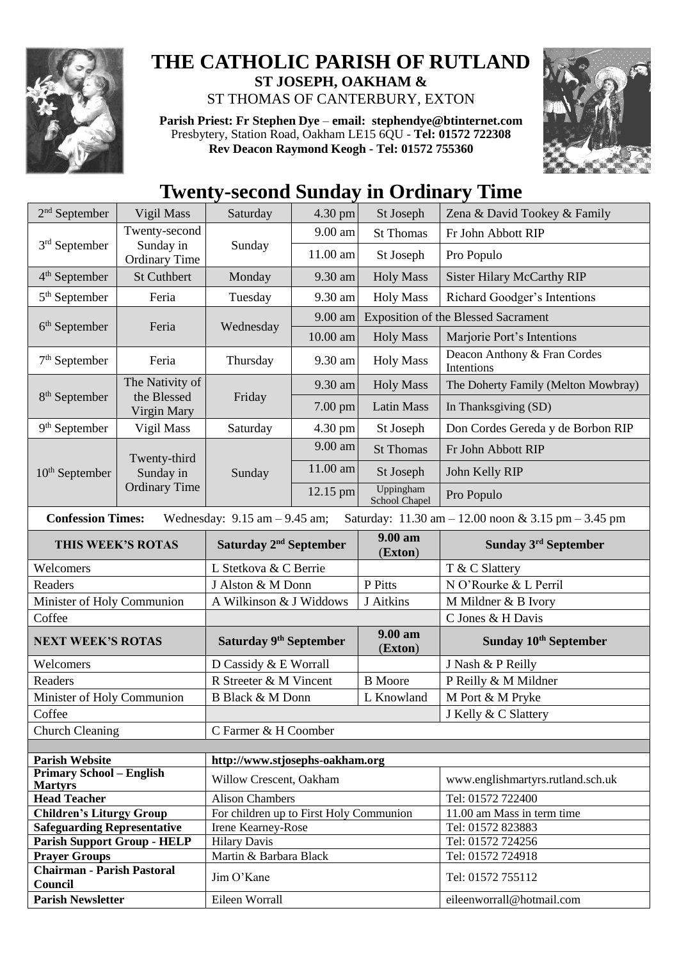

## **THE CATHOLIC PARISH OF RUTLAND ST JOSEPH, OAKHAM &**  ST THOMAS OF CANTERBURY, EXTON

**Parish Priest: Fr Stephen Dye** – **[email: stephendye@btinternet.com](mailto:email:%20%20stephendye@btinternet.com)** Presbytery, Station Road, Oakham LE15 6QU - **Tel: 01572 722308 Rev Deacon Raymond Keogh - Tel: 01572 755360**



## **Twenty-second Sunday in Ordinary Time**

| $2nd$ September                                                                                                                                         | Vigil Mass                                         | Saturday                                | 4.30 pm    | St Joseph                  | Zena & David Tookey & Family               |  |
|---------------------------------------------------------------------------------------------------------------------------------------------------------|----------------------------------------------------|-----------------------------------------|------------|----------------------------|--------------------------------------------|--|
| 3 <sup>rd</sup> September                                                                                                                               | Twenty-second<br>Sunday in<br><b>Ordinary Time</b> | Sunday                                  | 9.00 am    | <b>St Thomas</b>           | Fr John Abbott RIP                         |  |
|                                                                                                                                                         |                                                    |                                         | 11.00 am   | St Joseph                  | Pro Populo                                 |  |
| $4th$ September                                                                                                                                         | <b>St Cuthbert</b>                                 | Monday                                  | 9.30 am    | <b>Holy Mass</b>           | <b>Sister Hilary McCarthy RIP</b>          |  |
| 5 <sup>th</sup> September                                                                                                                               | Feria                                              | Tuesday                                 | 9.30 am    | <b>Holy Mass</b>           | Richard Goodger's Intentions               |  |
| $6th$ September                                                                                                                                         | Feria                                              | Wednesday                               | 9.00 am    |                            | <b>Exposition of the Blessed Sacrament</b> |  |
|                                                                                                                                                         |                                                    |                                         | 10.00 am   | <b>Holy Mass</b>           | Marjorie Port's Intentions                 |  |
| $7th$ September                                                                                                                                         | Feria                                              | Thursday                                | 9.30 am    | <b>Holy Mass</b>           | Deacon Anthony & Fran Cordes<br>Intentions |  |
|                                                                                                                                                         | The Nativity of                                    | Friday                                  | 9.30 am    | <b>Holy Mass</b>           | The Doherty Family (Melton Mowbray)        |  |
| $8th$ September                                                                                                                                         | the Blessed<br>Virgin Mary                         |                                         | 7.00 pm    | <b>Latin Mass</b>          | In Thanksgiving (SD)                       |  |
| $9th$ September                                                                                                                                         | Vigil Mass                                         | Saturday                                | 4.30 pm    | St Joseph                  | Don Cordes Gereda y de Borbon RIP          |  |
| $10th$ September                                                                                                                                        | Twenty-third<br>Sunday in<br><b>Ordinary Time</b>  | Sunday                                  | 9.00 am    | <b>St Thomas</b>           | Fr John Abbott RIP                         |  |
|                                                                                                                                                         |                                                    |                                         | 11.00 am   | St Joseph                  | John Kelly RIP                             |  |
|                                                                                                                                                         |                                                    |                                         | $12.15$ pm | Uppingham<br>School Chapel | Pro Populo                                 |  |
| <b>Confession Times:</b><br>Wednesday: $9.15$ am $- 9.45$ am;<br>Saturday: $11.30 \text{ am} - 12.00 \text{ noon} \& 3.15 \text{ pm} - 3.45 \text{ pm}$ |                                                    |                                         |            |                            |                                            |  |
|                                                                                                                                                         |                                                    | Saturday 2 <sup>nd</sup> September      |            |                            |                                            |  |
|                                                                                                                                                         | THIS WEEK'S ROTAS                                  |                                         |            | $9.00$ am                  | Sunday 3rd September                       |  |
| Welcomers                                                                                                                                               |                                                    | L Stetkova & C Berrie                   |            | (Exton)                    | T & C Slattery                             |  |
| Readers                                                                                                                                                 |                                                    | J Alston & M Donn                       |            | P Pitts                    | N O'Rourke & L Perril                      |  |
| Minister of Holy Communion                                                                                                                              |                                                    | A Wilkinson & J Widdows                 |            | J Aitkins                  | M Mildner & B Ivory                        |  |
| Coffee                                                                                                                                                  |                                                    |                                         |            |                            | C Jones & H Davis                          |  |
| <b>NEXT WEEK'S ROTAS</b>                                                                                                                                |                                                    | Saturday 9th September                  |            | 9.00 am<br>(Exton)         | Sunday 10 <sup>th</sup> September          |  |
| Welcomers                                                                                                                                               |                                                    | D Cassidy & E Worrall                   |            |                            | J Nash & P Reilly                          |  |
| Readers                                                                                                                                                 |                                                    | R Streeter & M Vincent                  |            | <b>B</b> Moore             | P Reilly & M Mildner                       |  |
| Minister of Holy Communion                                                                                                                              |                                                    | <b>B Black &amp; M Donn</b>             |            | L Knowland                 | M Port & M Pryke                           |  |
| Coffee                                                                                                                                                  |                                                    |                                         |            |                            | J Kelly & C Slattery                       |  |
| Church Cleaning                                                                                                                                         |                                                    | C Farmer & H Coomber                    |            |                            |                                            |  |
|                                                                                                                                                         |                                                    |                                         |            |                            |                                            |  |
| <b>Parish Website</b>                                                                                                                                   |                                                    | http://www.stjosephs-oakham.org         |            |                            |                                            |  |
| <b>Primary School - English</b><br><b>Martyrs</b>                                                                                                       |                                                    | Willow Crescent, Oakham                 |            |                            | www.englishmartyrs.rutland.sch.uk          |  |
| <b>Head Teacher</b>                                                                                                                                     |                                                    | <b>Alison Chambers</b>                  |            |                            | Tel: 01572 722400                          |  |
| <b>Children's Liturgy Group</b>                                                                                                                         |                                                    | For children up to First Holy Communion |            |                            | 11.00 am Mass in term time                 |  |
| <b>Safeguarding Representative</b>                                                                                                                      |                                                    | Irene Kearney-Rose                      |            |                            | Tel: 01572 823883                          |  |
| <b>Parish Support Group - HELP</b>                                                                                                                      |                                                    | <b>Hilary Davis</b>                     |            |                            | Tel: 01572 724256                          |  |
| <b>Prayer Groups</b><br><b>Chairman - Parish Pastoral</b>                                                                                               |                                                    | Martin & Barbara Black<br>$\sim$        |            |                            | Tel: 01572 724918<br>$T_{1}$ 01550 5551    |  |

Council Council Council Council Tel: 01572 755112

**Parish Newsletter** Eileen Worrall Eileen Worrall Eileenworrall @hotmail.com